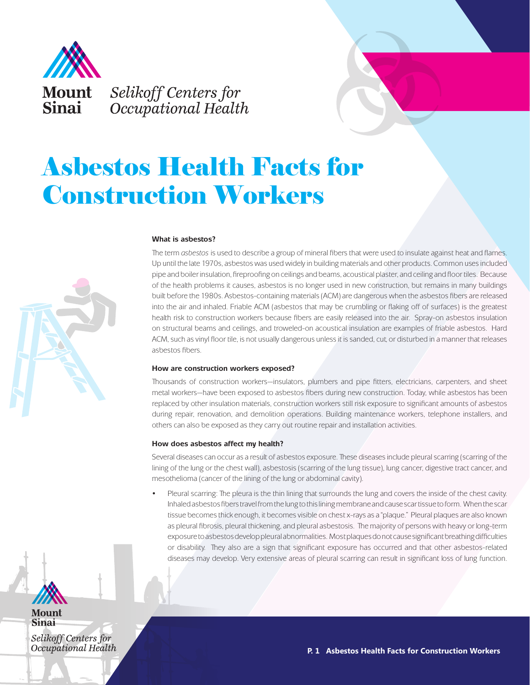

# Asbestos Health Facts for Construction Workers



# **What is asbestos?**

The term *asbestos* is used to describe a group of mineral fibers that were used to insulate against heat and flames. Up until the late 1970s, asbestos was used widely in building materials and other products. Common uses included pipe and boiler insulation, fireproofing on ceilings and beams, acoustical plaster, and ceiling and floor tiles. Because of the health problems it causes, asbestos is no longer used in new construction, but remains in many buildings built before the 1980s. Asbestos-containing materials (ACM) are dangerous when the asbestos fibers are released into the air and inhaled. Friable ACM (asbestos that may be crumbling or flaking off of surfaces) is the greatest health risk to construction workers because fibers are easily released into the air. Spray-on asbestos insulation on structural beams and ceilings, and troweled-on acoustical insulation are examples of friable asbestos. Hard ACM, such as vinyl floor tile, is not usually dangerous unless it is sanded, cut, or disturbed in a manner that releases asbestos fibers.

### **How are construction workers exposed?**

Thousands of construction workers—insulators, plumbers and pipe fitters, electricians, carpenters, and sheet metal workers—have been exposed to asbestos fibers during new construction. Today, while asbestos has been replaced by other insulation materials, construction workers still risk exposure to significant amounts of asbestos during repair, renovation, and demolition operations. Building maintenance workers, telephone installers, and others can also be exposed as they carry out routine repair and installation activities.

# **How does asbestos affect my health?**

Several diseases can occur as a result of asbestos exposure. These diseases include pleural scarring (scarring of the lining of the lung or the chest wall), asbestosis (scarring of the lung tissue), lung cancer, digestive tract cancer, and mesothelioma (cancer of the lining of the lung or abdominal cavity).

Pleural scarring: The pleura is the thin lining that surrounds the lung and covers the inside of the chest cavity. Inhaled asbestos fibers travel from the lung to this lining membrane and cause scar tissue to form. When the scar tissue becomes thick enough, it becomes visible on chest x-rays as a "plaque." Pleural plaques are also known as pleural fibrosis, pleural thickening, and pleural asbestosis. The majority of persons with heavy or long-term exposure to asbestos develop pleural abnormalities. Most plaques do not cause significant breathing difficulties or disability. They also are a sign that significant exposure has occurred and that other asbestos-related diseases may develop. Very extensive areas of pleural scarring can result in significant loss of lung function.



Mount **Sinai** 

Selikoff Centers for Occupational Health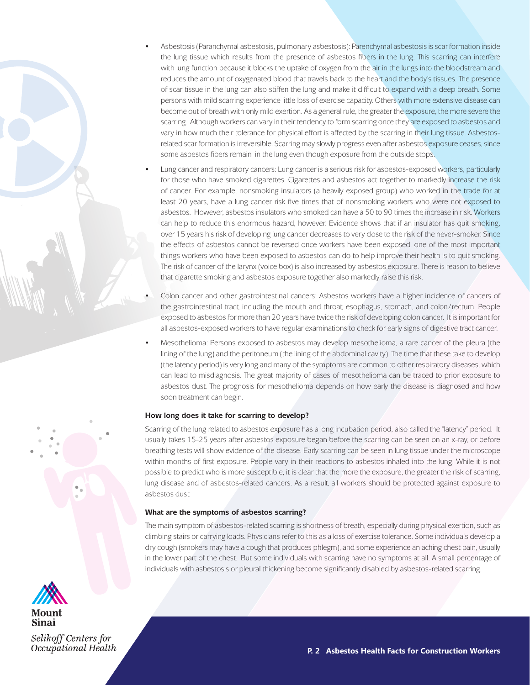- Asbestosis (Paranchymal asbestosis, pulmonary asbestosis): Parenchymal asbestosis is scar formation inside the lung tissue which results from the presence of asbestos fibers in the lung. This scarring can interfere with lung function because it blocks the uptake of oxygen from the air in the lungs into the bloodstream and reduces the amount of oxygenated blood that travels back to the heart and the body's tissues. The presence of scar tissue in the lung can also stiffen the lung and make it difficult to expand with a deep breath. Some persons with mild scarring experience little loss of exercise capacity. Others with more extensive disease can become out of breath with only mild exertion. As a general rule, the greater the exposure, the more severe the scarring. Although workers can vary in their tendency to form scarring once they are exposed to asbestos and vary in how much their tolerance for physical effort is affected by the scarring in their lung tissue. Asbestosrelated scar formation is irreversible. Scarring may slowly progress even after asbestos exposure ceases, since some asbestos fibers remain in the lung even though exposure from the outside stops.
- Lung cancer and respiratory cancers: Lung cancer is a serious risk for asbestos-exposed workers, particularly for those who have smoked cigarettes. Cigarettes and asbestos act together to markedly increase the risk of cancer. For example, nonsmoking insulators (a heavily exposed group) who worked in the trade for at least 20 years, have a lung cancer risk five times that of nonsmoking workers who were not exposed to asbestos. However, asbestos insulators who smoked can have a 50 to 90 times the increase in risk. Workers can help to reduce this enormous hazard, however. Evidence shows that if an insulator has quit smoking, over 15 years his risk of developing lung cancer decreases to very close to the risk of the never-smoker. Since the effects of asbestos cannot be reversed once workers have been exposed, one of the most important things workers who have been exposed to asbestos can do to help improve their health is to quit smoking. The risk of cancer of the larynx (voice box) is also increased by asbestos exposure. There is reason to believe that cigarette smoking and asbestos exposure together also markedly raise this risk.
- Colon cancer and other gastrointestinal cancers: Asbestos workers have a higher incidence of cancers of the gastrointestinal tract, including the mouth and throat, esophagus, stomach, and colon/rectum. People exposed to asbestos for more than 20 years have twice the risk of developing colon cancer. It is important for all asbestos-exposed workers to have regular examinations to check for early signs of digestive tract cancer.
- Mesothelioma: Persons exposed to asbestos may develop mesothelioma, a rare cancer of the pleura (the lining of the lung) and the peritoneum (the lining of the abdominal cavity). The time that these take to develop (the latency period) is very long and many of the symptoms are common to other respiratory diseases, which can lead to misdiagnosis. The great majority of cases of mesothelioma can be traced to prior exposure to asbestos dust. The prognosis for mesothelioma depends on how early the disease is diagnosed and how soon treatment can begin.

### **How long does it take for scarring to develop?**

Scarring of the lung related to asbestos exposure has a long incubation period, also called the "latency" period. It usually takes 15-25 years after asbestos exposure began before the scarring can be seen on an x-ray, or before breathing tests will show evidence of the disease. Early scarring can be seen in lung tissue under the microscope within months of first exposure. People vary in their reactions to asbestos inhaled into the lung. While it is not possible to predict who is more susceptible, it is clear that the more the exposure, the greater the risk of scarring, lung disease and of asbestos-related cancers. As a result, all workers should be protected against exposure to asbestos dust.

# **What are the symptoms of asbestos scarring?**

The main symptom of asbestos-related scarring is shortness of breath, especially during physical exertion, such as climbing stairs or carrying loads. Physicians refer to this as a loss of exercise tolerance. Some individuals develop a dry cough (smokers may have a cough that produces phlegm), and some experience an aching chest pain, usually in the lower part of the chest. But some individuals with scarring have no symptoms at all. A small percentage of individuals with asbestosis or pleural thickening become significantly disabled by asbestos-related scarring.



Mount Sinai

Selikoff Centers for Occupational Health